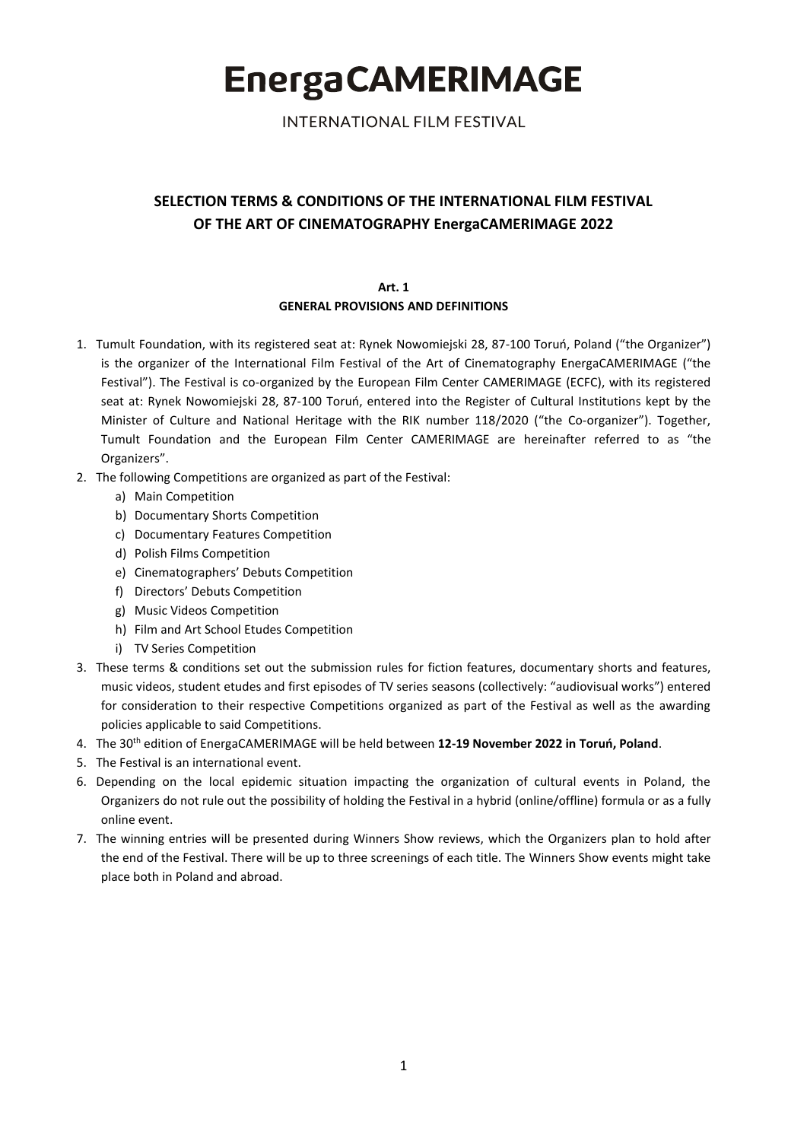**INTERNATIONAL FILM FESTIVAL** 

# **SELECTION TERMS & CONDITIONS OF THE INTERNATIONAL FILM FESTIVAL OF THE ART OF CINEMATOGRAPHY EnergaCAMERIMAGE 2022**

**Art. 1**

### **GENERAL PROVISIONS AND DEFINITIONS**

- 1. Tumult Foundation, with its registered seat at: Rynek Nowomiejski 28, 87-100 Toruń, Poland ("the Organizer") is the organizer of the International Film Festival of the Art of Cinematography EnergaCAMERIMAGE ("the Festival"). The Festival is co-organized by the European Film Center CAMERIMAGE (ECFC), with its registered seat at: Rynek Nowomiejski 28, 87-100 Toruń, entered into the Register of Cultural Institutions kept by the Minister of Culture and National Heritage with the RIK number 118/2020 ("the Co-organizer"). Together, Tumult Foundation and the European Film Center CAMERIMAGE are hereinafter referred to as "the Organizers".
- 2. The following Competitions are organized as part of the Festival:
	- a) Main Competition
	- b) Documentary Shorts Competition
	- c) Documentary Features Competition
	- d) Polish Films Competition
	- e) Cinematographers' Debuts Competition
	- f) Directors' Debuts Competition
	- g) Music Videos Competition
	- h) Film and Art School Etudes Competition
	- i) TV Series Competition
- 3. These terms & conditions set out the submission rules for fiction features, documentary shorts and features, music videos, student etudes and first episodes of TV series seasons (collectively: "audiovisual works") entered for consideration to their respective Competitions organized as part of the Festival as well as the awarding policies applicable to said Competitions.
- 4. The 30th edition of EnergaCAMERIMAGE will be held between **12-19 November 2022 in Toruń, Poland**.
- 5. The Festival is an international event.
- 6. Depending on the local epidemic situation impacting the organization of cultural events in Poland, the Organizers do not rule out the possibility of holding the Festival in a hybrid (online/offline) formula or as a fully online event.
- 7. The winning entries will be presented during Winners Show reviews, which the Organizers plan to hold after the end of the Festival. There will be up to three screenings of each title. The Winners Show events might take place both in Poland and abroad.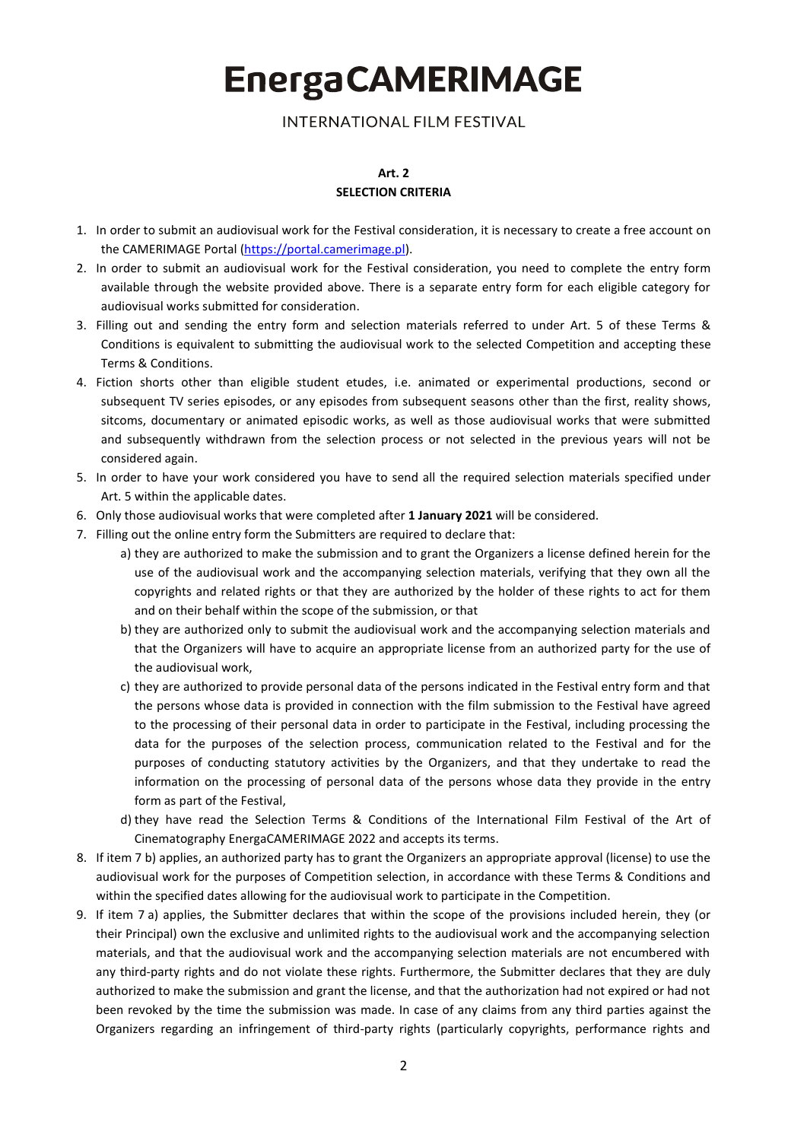**INTERNATIONAL FILM FESTIVAL** 

### **Art. 2 SELECTION CRITERIA**

- 1. In order to submit an audiovisual work for the Festival consideration, it is necessary to create a free account on the CAMERIMAGE Portal [\(https://portal.camerimage.pl\)](https://portal.camerimage.pl/).
- 2. In order to submit an audiovisual work for the Festival consideration, you need to complete the entry form available through the website provided above. There is a separate entry form for each eligible category for audiovisual works submitted for consideration.
- 3. Filling out and sending the entry form and selection materials referred to under Art. 5 of these Terms & Conditions is equivalent to submitting the audiovisual work to the selected Competition and accepting these Terms & Conditions.
- 4. Fiction shorts other than eligible student etudes, i.e. animated or experimental productions, second or subsequent TV series episodes, or any episodes from subsequent seasons other than the first, reality shows, sitcoms, documentary or animated episodic works, as well as those audiovisual works that were submitted and subsequently withdrawn from the selection process or not selected in the previous years will not be considered again.
- 5. In order to have your work considered you have to send all the required selection materials specified under Art. 5 within the applicable dates.
- 6. Only those audiovisual works that were completed after **1 January 2021** will be considered.
- 7. Filling out the online entry form the Submitters are required to declare that:
	- a) they are authorized to make the submission and to grant the Organizers a license defined herein for the use of the audiovisual work and the accompanying selection materials, verifying that they own all the copyrights and related rights or that they are authorized by the holder of these rights to act for them and on their behalf within the scope of the submission, or that
	- b) they are authorized only to submit the audiovisual work and the accompanying selection materials and that the Organizers will have to acquire an appropriate license from an authorized party for the use of the audiovisual work,
	- c) they are authorized to provide personal data of the persons indicated in the Festival entry form and that the persons whose data is provided in connection with the film submission to the Festival have agreed to the processing of their personal data in order to participate in the Festival, including processing the data for the purposes of the selection process, communication related to the Festival and for the purposes of conducting statutory activities by the Organizers, and that they undertake to read the information on the processing of personal data of the persons whose data they provide in the entry form as part of the Festival,
	- d) they have read the Selection Terms & Conditions of the International Film Festival of the Art of Cinematography EnergaCAMERIMAGE 2022 and accepts its terms.
- 8. If item 7 b) applies, an authorized party has to grant the Organizers an appropriate approval (license) to use the audiovisual work for the purposes of Competition selection, in accordance with these Terms & Conditions and within the specified dates allowing for the audiovisual work to participate in the Competition.
- 9. If item 7 a) applies, the Submitter declares that within the scope of the provisions included herein, they (or their Principal) own the exclusive and unlimited rights to the audiovisual work and the accompanying selection materials, and that the audiovisual work and the accompanying selection materials are not encumbered with any third-party rights and do not violate these rights. Furthermore, the Submitter declares that they are duly authorized to make the submission and grant the license, and that the authorization had not expired or had not been revoked by the time the submission was made. In case of any claims from any third parties against the Organizers regarding an infringement of third-party rights (particularly copyrights, performance rights and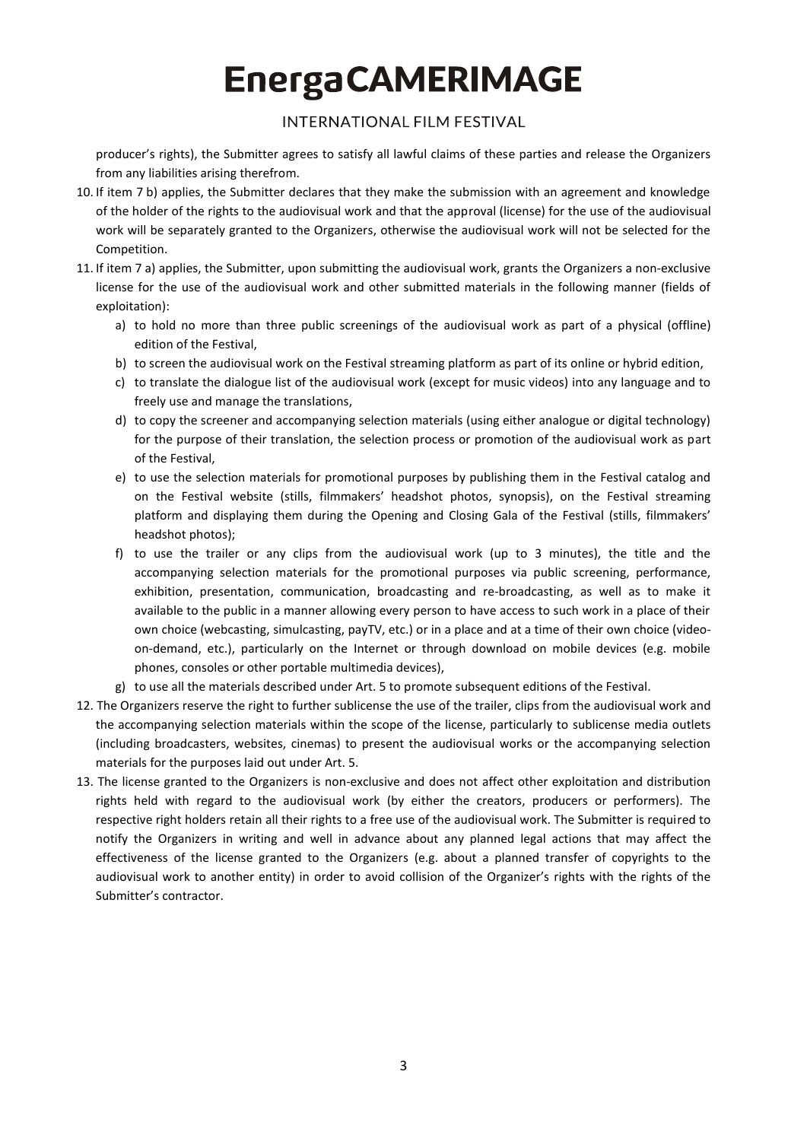## **INTERNATIONAL FILM FESTIVAL**

producer's rights), the Submitter agrees to satisfy all lawful claims of these parties and release the Organizers from any liabilities arising therefrom.

- 10. If item 7 b) applies, the Submitter declares that they make the submission with an agreement and knowledge of the holder of the rights to the audiovisual work and that the approval (license) for the use of the audiovisual work will be separately granted to the Organizers, otherwise the audiovisual work will not be selected for the Competition.
- 11. If item 7 a) applies, the Submitter, upon submitting the audiovisual work, grants the Organizers a non-exclusive license for the use of the audiovisual work and other submitted materials in the following manner (fields of exploitation):
	- a) to hold no more than three public screenings of the audiovisual work as part of a physical (offline) edition of the Festival,
	- b) to screen the audiovisual work on the Festival streaming platform as part of its online or hybrid edition,
	- c) to translate the dialogue list of the audiovisual work (except for music videos) into any language and to freely use and manage the translations,
	- d) to copy the screener and accompanying selection materials (using either analogue or digital technology) for the purpose of their translation, the selection process or promotion of the audiovisual work as part of the Festival,
	- e) to use the selection materials for promotional purposes by publishing them in the Festival catalog and on the Festival website (stills, filmmakers' headshot photos, synopsis), on the Festival streaming platform and displaying them during the Opening and Closing Gala of the Festival (stills, filmmakers' headshot photos);
	- f) to use the trailer or any clips from the audiovisual work (up to 3 minutes), the title and the accompanying selection materials for the promotional purposes via public screening, performance, exhibition, presentation, communication, broadcasting and re-broadcasting, as well as to make it available to the public in a manner allowing every person to have access to such work in a place of their own choice (webcasting, simulcasting, payTV, etc.) or in a place and at a time of their own choice (videoon-demand, etc.), particularly on the Internet or through download on mobile devices (e.g. mobile phones, consoles or other portable multimedia devices),
	- g) to use all the materials described under Art. 5 to promote subsequent editions of the Festival.
- 12. The Organizers reserve the right to further sublicense the use of the trailer, clips from the audiovisual work and the accompanying selection materials within the scope of the license, particularly to sublicense media outlets (including broadcasters, websites, cinemas) to present the audiovisual works or the accompanying selection materials for the purposes laid out under Art. 5.
- 13. The license granted to the Organizers is non-exclusive and does not affect other exploitation and distribution rights held with regard to the audiovisual work (by either the creators, producers or performers). The respective right holders retain all their rights to a free use of the audiovisual work. The Submitter is required to notify the Organizers in writing and well in advance about any planned legal actions that may affect the effectiveness of the license granted to the Organizers (e.g. about a planned transfer of copyrights to the audiovisual work to another entity) in order to avoid collision of the Organizer's rights with the rights of the Submitter's contractor.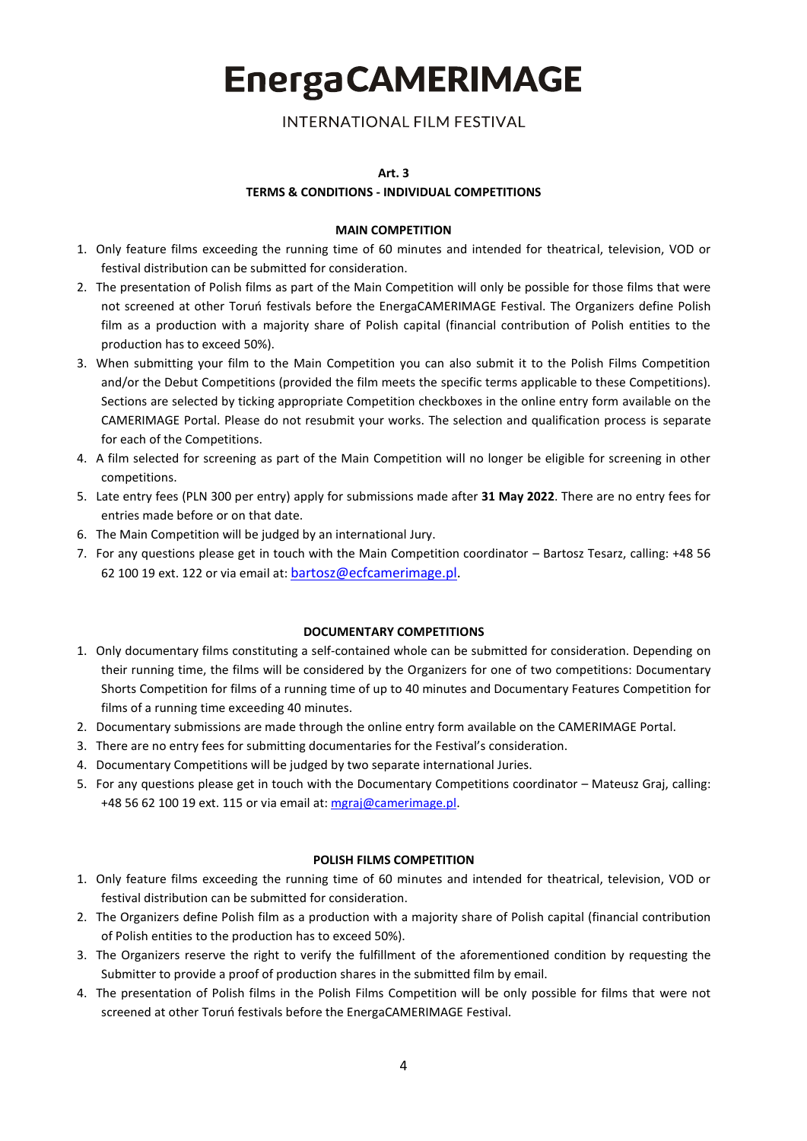**INTERNATIONAL FILM FESTIVAL** 

#### **Art. 3**

### **TERMS & CONDITIONS - INDIVIDUAL COMPETITIONS**

### **MAIN COMPETITION**

- 1. Only feature films exceeding the running time of 60 minutes and intended for theatrical, television, VOD or festival distribution can be submitted for consideration.
- 2. The presentation of Polish films as part of the Main Competition will only be possible for those films that were not screened at other Toruń festivals before the EnergaCAMERIMAGE Festival. The Organizers define Polish film as a production with a majority share of Polish capital (financial contribution of Polish entities to the production has to exceed 50%).
- 3. When submitting your film to the Main Competition you can also submit it to the Polish Films Competition and/or the Debut Competitions (provided the film meets the specific terms applicable to these Competitions). Sections are selected by ticking appropriate Competition checkboxes in the online entry form available on the CAMERIMAGE Portal. Please do not resubmit your works. The selection and qualification process is separate for each of the Competitions.
- 4. A film selected for screening as part of the Main Competition will no longer be eligible for screening in other competitions.
- 5. Late entry fees (PLN 300 per entry) apply for submissions made after **31 May 2022**. There are no entry fees for entries made before or on that date.
- 6. The Main Competition will be judged by an international Jury.
- 7. For any questions please get in touch with the Main Competition coordinator Bartosz Tesarz, calling: +48 56 62 100 19 ext. 122 or via email at: [bartosz@ecfcamerimage.pl.](mailto:bartosz@ecfcamerimage.pl)

#### **DOCUMENTARY COMPETITIONS**

- 1. Only documentary films constituting a self-contained whole can be submitted for consideration. Depending on their running time, the films will be considered by the Organizers for one of two competitions: Documentary Shorts Competition for films of a running time of up to 40 minutes and Documentary Features Competition for films of a running time exceeding 40 minutes.
- 2. Documentary submissions are made through the online entry form available on the CAMERIMAGE Portal.
- 3. There are no entry fees for submitting documentaries for the Festival's consideration.
- 4. Documentary Competitions will be judged by two separate international Juries.
- 5. For any questions please get in touch with the Documentary Competitions coordinator Mateusz Graj, calling: +48 56 62 100 19 ext. 115 or via email at: [mgraj@camerimage.pl.](mailto:mgraj@camerimage.pl)

### **POLISH FILMS COMPETITION**

- 1. Only feature films exceeding the running time of 60 minutes and intended for theatrical, television, VOD or festival distribution can be submitted for consideration.
- 2. The Organizers define Polish film as a production with a majority share of Polish capital (financial contribution of Polish entities to the production has to exceed 50%).
- 3. The Organizers reserve the right to verify the fulfillment of the aforementioned condition by requesting the Submitter to provide a proof of production shares in the submitted film by email.
- 4. The presentation of Polish films in the Polish Films Competition will be only possible for films that were not screened at other Toruń festivals before the EnergaCAMERIMAGE Festival.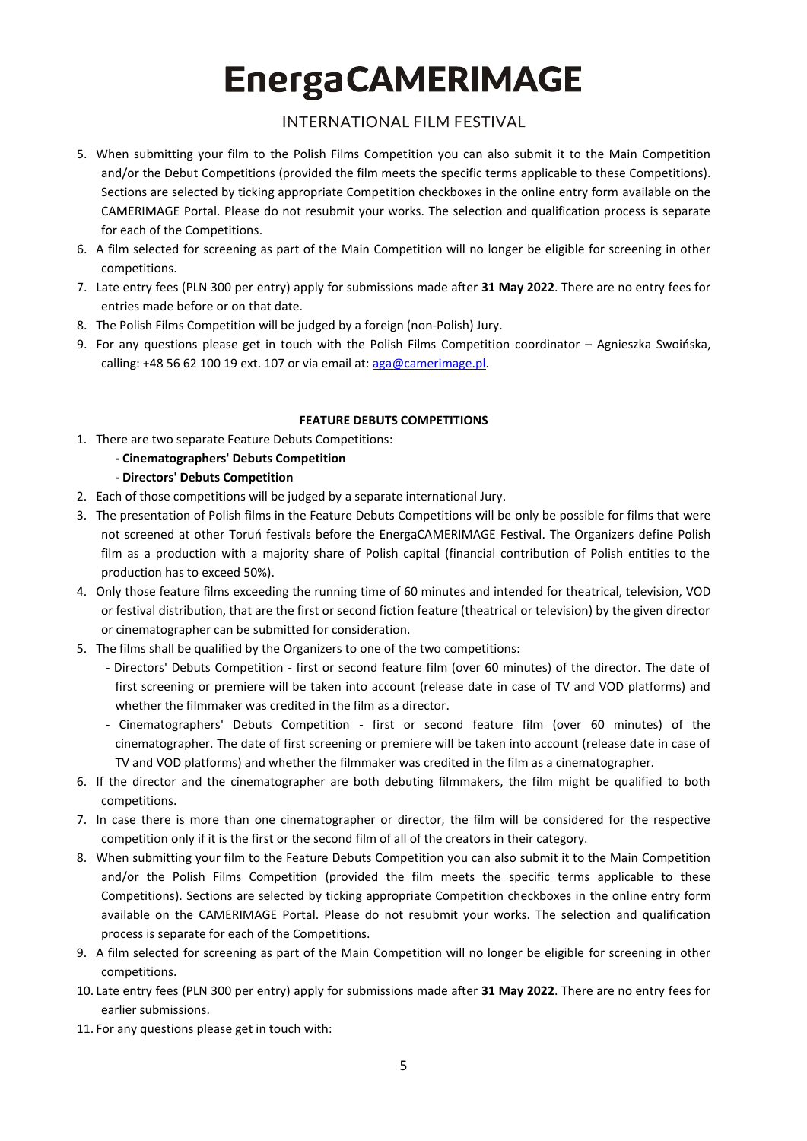## **INTERNATIONAL FILM FESTIVAL**

- 5. When submitting your film to the Polish Films Competition you can also submit it to the Main Competition and/or the Debut Competitions (provided the film meets the specific terms applicable to these Competitions). Sections are selected by ticking appropriate Competition checkboxes in the online entry form available on the CAMERIMAGE Portal. Please do not resubmit your works. The selection and qualification process is separate for each of the Competitions.
- 6. A film selected for screening as part of the Main Competition will no longer be eligible for screening in other competitions.
- 7. Late entry fees (PLN 300 per entry) apply for submissions made after **31 May 2022**. There are no entry fees for entries made before or on that date.
- 8. The Polish Films Competition will be judged by a foreign (non-Polish) Jury.
- 9. For any questions please get in touch with the Polish Films Competition coordinator Agnieszka Swoińska, calling: +48 56 62 100 19 ext. 107 or via email at:  $\frac{\text{arg}_\theta\omega}{\text{var}_\theta\omega}$

### **FEATURE DEBUTS COMPETITIONS**

- 1. There are two separate Feature Debuts Competitions:
	- **- Cinematographers' Debuts Competition**
	- **- Directors' Debuts Competition**
- 2. Each of those competitions will be judged by a separate international Jury.
- 3. The presentation of Polish films in the Feature Debuts Competitions will be only be possible for films that were not screened at other Toruń festivals before the EnergaCAMERIMAGE Festival. The Organizers define Polish film as a production with a majority share of Polish capital (financial contribution of Polish entities to the production has to exceed 50%).
- 4. Only those feature films exceeding the running time of 60 minutes and intended for theatrical, television, VOD or festival distribution, that are the first or second fiction feature (theatrical or television) by the given director or cinematographer can be submitted for consideration.
- 5. The films shall be qualified by the Organizers to one of the two competitions:
	- Directors' Debuts Competition first or second feature film (over 60 minutes) of the director. The date of first screening or premiere will be taken into account (release date in case of TV and VOD platforms) and whether the filmmaker was credited in the film as a director.
	- Cinematographers' Debuts Competition first or second feature film (over 60 minutes) of the cinematographer. The date of first screening or premiere will be taken into account (release date in case of TV and VOD platforms) and whether the filmmaker was credited in the film as a cinematographer.
- 6. If the director and the cinematographer are both debuting filmmakers, the film might be qualified to both competitions.
- 7. In case there is more than one cinematographer or director, the film will be considered for the respective competition only if it is the first or the second film of all of the creators in their category.
- 8. When submitting your film to the Feature Debuts Competition you can also submit it to the Main Competition and/or the Polish Films Competition (provided the film meets the specific terms applicable to these Competitions). Sections are selected by ticking appropriate Competition checkboxes in the online entry form available on the CAMERIMAGE Portal. Please do not resubmit your works. The selection and qualification process is separate for each of the Competitions.
- 9. A film selected for screening as part of the Main Competition will no longer be eligible for screening in other competitions.
- 10. Late entry fees (PLN 300 per entry) apply for submissions made after **31 May 2022**. There are no entry fees for earlier submissions.
- 11. For any questions please get in touch with: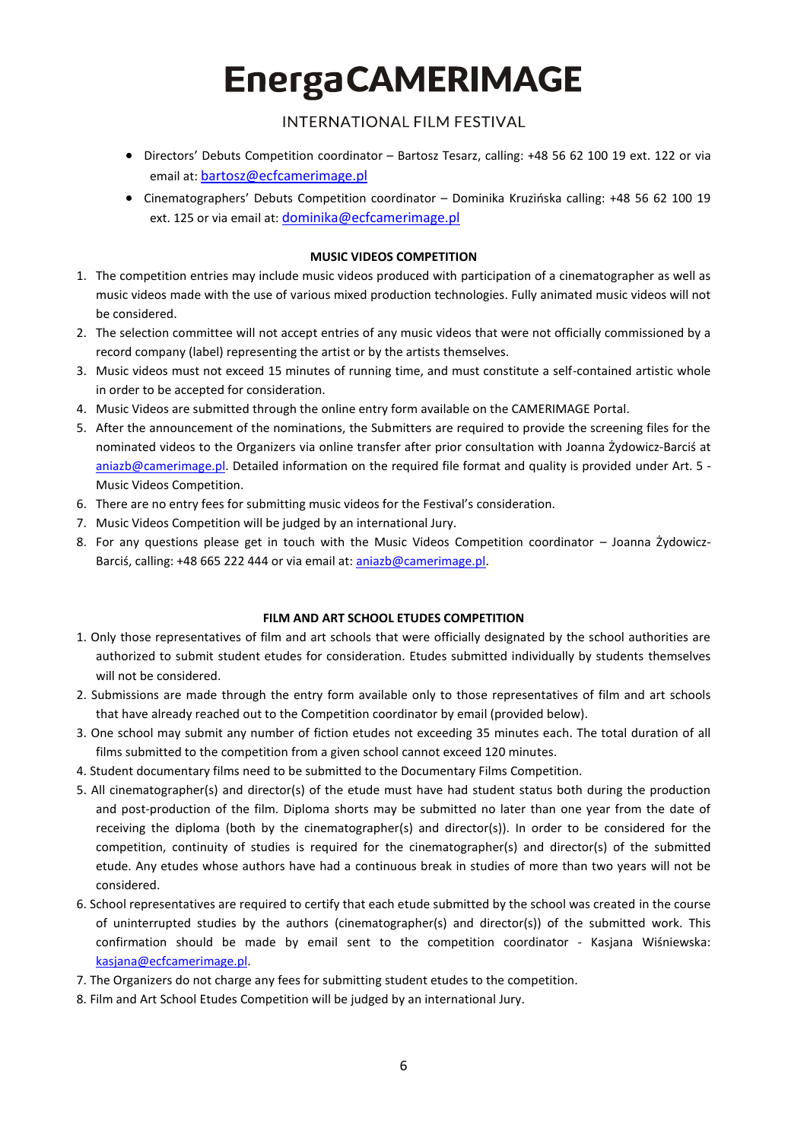## **INTERNATIONAL FILM FESTIVAL**

- Directors' Debuts Competition coordinator Bartosz Tesarz, calling: +48 56 62 100 19 ext. 122 or via email at: [bartosz@ecfcamerimage.pl](mailto:bartosz@ecfcamerimage.pl)
- Cinematographers' Debuts Competition coordinator Dominika Kruzińska calling: +48 56 62 100 19 ext. 125 or via email at: [dominika@ecfcamerimage.pl](mailto:dominika@ecfcamerimage.pl)

### **MUSIC VIDEOS COMPETITION**

- 1. The competition entries may include music videos produced with participation of a cinematographer as well as music videos made with the use of various mixed production technologies. Fully animated music videos will not be considered.
- 2. The selection committee will not accept entries of any music videos that were not officially commissioned by a record company (label) representing the artist or by the artists themselves.
- 3. Music videos must not exceed 15 minutes of running time, and must constitute a self-contained artistic whole in order to be accepted for consideration.
- 4. Music Videos are submitted through the online entry form available on the CAMERIMAGE Portal.
- 5. After the announcement of the nominations, the Submitters are required to provide the screening files for the nominated videos to the Organizers via online transfer after prior consultation with Joanna Żydowicz-Barciś at [aniazb@camerimage.pl.](mailto:aniazb@camerimage.pl) Detailed information on the required file format and quality is provided under Art. 5 -Music Videos Competition.
- 6. There are no entry fees for submitting music videos for the Festival's consideration.
- 7. Music Videos Competition will be judged by an international Jury.
- 8. For any questions please get in touch with the Music Videos Competition coordinator Joanna Żydowicz-Barciś, calling: +48 665 222 444 or via email at: [aniazb@camerimage.pl.](mailto:aniazb@camerimage.pl)

### **FILM AND ART SCHOOL ETUDES COMPETITION**

- 1. Only those representatives of film and art schools that were officially designated by the school authorities are authorized to submit student etudes for consideration. Etudes submitted individually by students themselves will not be considered.
- 2. Submissions are made through the entry form available only to those representatives of film and art schools that have already reached out to the Competition coordinator by email (provided below).
- 3. One school may submit any number of fiction etudes not exceeding 35 minutes each. The total duration of all films submitted to the competition from a given school cannot exceed 120 minutes.
- 4. Student documentary films need to be submitted to the Documentary Films Competition.
- 5. All cinematographer(s) and director(s) of the etude must have had student status both during the production and post-production of the film. Diploma shorts may be submitted no later than one year from the date of receiving the diploma (both by the cinematographer(s) and director(s)). In order to be considered for the competition, continuity of studies is required for the cinematographer(s) and director(s) of the submitted etude. Any etudes whose authors have had a continuous break in studies of more than two years will not be considered.
- 6. School representatives are required to certify that each etude submitted by the school was created in the course of uninterrupted studies by the authors (cinematographer(s) and director(s)) of the submitted work. This confirmation should be made by email sent to the competition coordinator - Kasjana Wiśniewska: [kasjana@ecfcamerimage.pl.](mailto:kasjana@ecfcamerimage.pl)
- 7. The Organizers do not charge any fees for submitting student etudes to the competition.
- 8. Film and Art School Etudes Competition will be judged by an international Jury.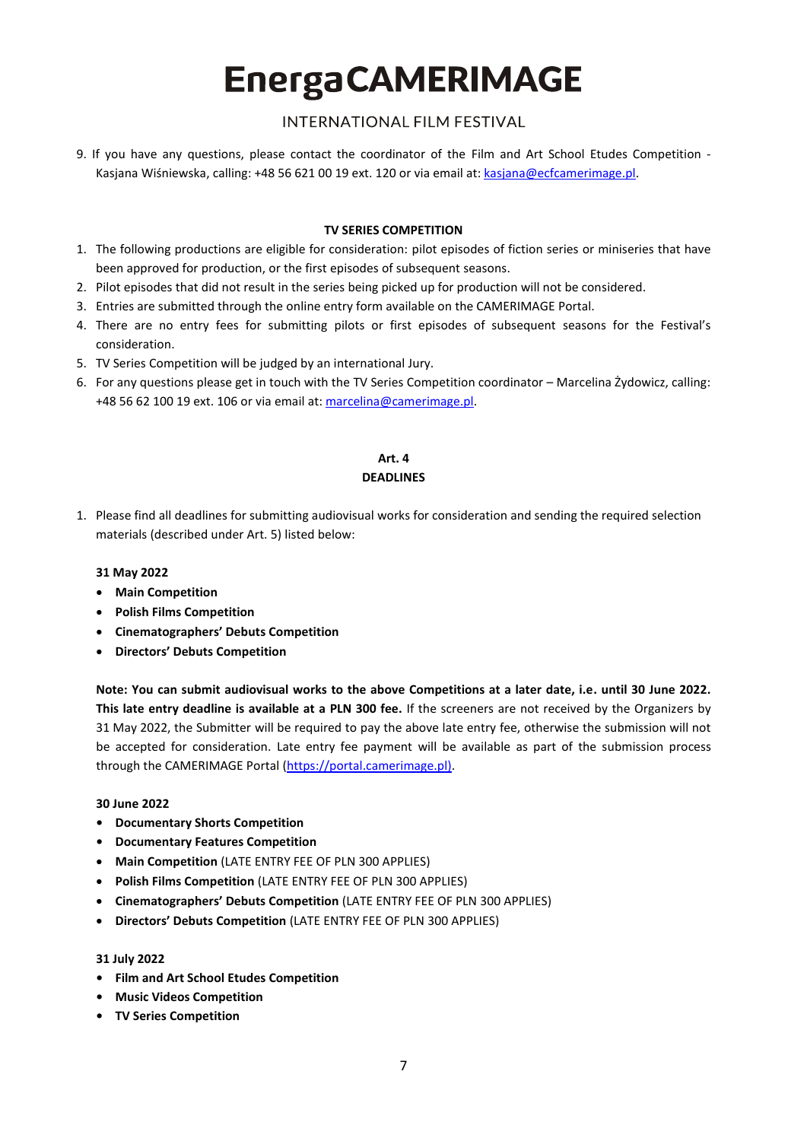## **INTERNATIONAL FILM FESTIVAL**

9. If you have any questions, please contact the coordinator of the Film and Art School Etudes Competition - Kasjana Wiśniewska, calling: +48 56 621 00 19 ext. 120 or via email at: [kasjana@ecfcamerimage.pl.](mailto:kasjana@ecfcamerimage.pl)

### **TV SERIES COMPETITION**

- 1. The following productions are eligible for consideration: pilot episodes of fiction series or miniseries that have been approved for production, or the first episodes of subsequent seasons.
- 2. Pilot episodes that did not result in the series being picked up for production will not be considered.
- 3. Entries are submitted through the online entry form available on the CAMERIMAGE Portal.
- 4. There are no entry fees for submitting pilots or first episodes of subsequent seasons for the Festival's consideration.
- 5. TV Series Competition will be judged by an international Jury.
- 6. For any questions please get in touch with the TV Series Competition coordinator Marcelina Żydowicz, calling: +48 56 62 100 19 ext. 106 or via email at[: marcelina@camerimage.pl.](mailto:marcelina@camerimage.pl)

#### **Art. 4 DEADLINES**

1. Please find all deadlines for submitting audiovisual works for consideration and sending the required selection materials (described under Art. 5) listed below:

#### **31 May 2022**

- **Main Competition**
- **Polish Films Competition**
- **Cinematographers' Debuts Competition**
- **Directors' Debuts Competition**

**Note: You can submit audiovisual works to the above Competitions at a later date, i.e. until 30 June 2022. This late entry deadline is available at a PLN 300 fee.** If the screeners are not received by the Organizers by 31 May 2022, the Submitter will be required to pay the above late entry fee, otherwise the submission will not be accepted for consideration. Late entry fee payment will be available as part of the submission process through the CAMERIMAGE Portal [\(https://portal.camerimage.pl\)](https://portal.camerimage.pl/).

#### **30 June 2022**

- **• Documentary Shorts Competition**
- **• Documentary Features Competition**
- **Main Competition** (LATE ENTRY FEE OF PLN 300 APPLIES)
- **Polish Films Competition** (LATE ENTRY FEE OF PLN 300 APPLIES)
- **Cinematographers' Debuts Competition** (LATE ENTRY FEE OF PLN 300 APPLIES)
- **Directors' Debuts Competition** (LATE ENTRY FEE OF PLN 300 APPLIES)

#### **31 July 2022**

- **• Film and Art School Etudes Competition**
- **• Music Videos Competition**
- **• TV Series Competition**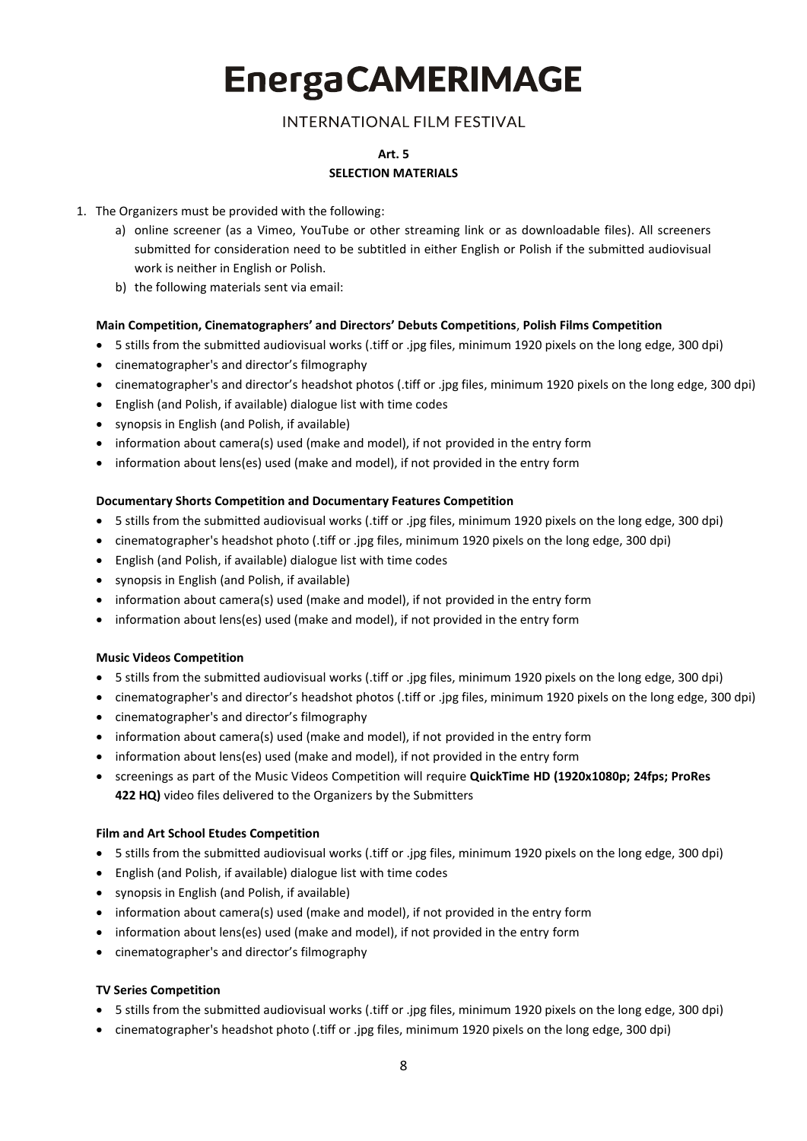## **INTERNATIONAL FILM FESTIVAL**

### **Art. 5 SELECTION MATERIALS**

#### 1. The Organizers must be provided with the following:

- a) online screener (as a Vimeo, YouTube or other streaming link or as downloadable files). All screeners submitted for consideration need to be subtitled in either English or Polish if the submitted audiovisual work is neither in English or Polish.
- b) the following materials sent via email:

#### **Main Competition, Cinematographers' and Directors' Debuts Competitions**, **Polish Films Competition**

- 5 stills from the submitted audiovisual works (.tiff or .jpg files, minimum 1920 pixels on the long edge, 300 dpi)
- cinematographer's and director's filmography
- cinematographer's and director's headshot photos (.tiff or .jpg files, minimum 1920 pixels on the long edge, 300 dpi)
- English (and Polish, if available) dialogue list with time codes
- synopsis in English (and Polish, if available)
- information about camera(s) used (make and model), if not provided in the entry form
- information about lens(es) used (make and model), if not provided in the entry form

#### **Documentary Shorts Competition and Documentary Features Competition**

- 5 stills from the submitted audiovisual works (.tiff or .jpg files, minimum 1920 pixels on the long edge, 300 dpi)
- cinematographer's headshot photo (.tiff or .jpg files, minimum 1920 pixels on the long edge, 300 dpi)
- English (and Polish, if available) dialogue list with time codes
- synopsis in English (and Polish, if available)
- information about camera(s) used (make and model), if not provided in the entry form
- information about lens(es) used (make and model), if not provided in the entry form

#### **Music Videos Competition**

- 5 stills from the submitted audiovisual works (.tiff or .jpg files, minimum 1920 pixels on the long edge, 300 dpi)
- cinematographer's and director's headshot photos (.tiff or .jpg files, minimum 1920 pixels on the long edge, 300 dpi)
- cinematographer's and director's filmography
- information about camera(s) used (make and model), if not provided in the entry form
- information about lens(es) used (make and model), if not provided in the entry form
- screenings as part of the Music Videos Competition will require **QuickTime HD (1920x1080p; 24fps; ProRes 422 HQ)** video files delivered to the Organizers by the Submitters

#### **Film and Art School Etudes Competition**

- 5 stills from the submitted audiovisual works (.tiff or .jpg files, minimum 1920 pixels on the long edge, 300 dpi)
- English (and Polish, if available) dialogue list with time codes
- synopsis in English (and Polish, if available)
- information about camera(s) used (make and model), if not provided in the entry form
- information about lens(es) used (make and model), if not provided in the entry form
- cinematographer's and director's filmography

### **TV Series Competition**

- 5 stills from the submitted audiovisual works (.tiff or .jpg files, minimum 1920 pixels on the long edge, 300 dpi)
- cinematographer's headshot photo (.tiff or .jpg files, minimum 1920 pixels on the long edge, 300 dpi)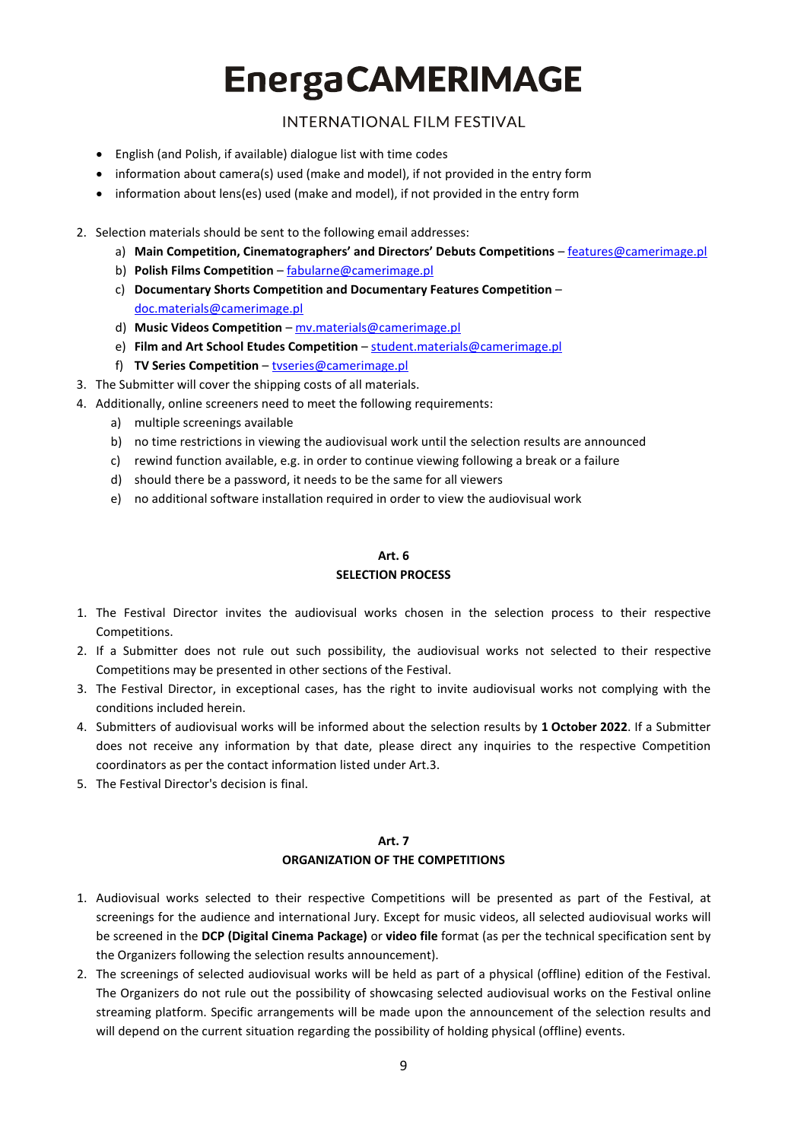**INTERNATIONAL FILM FESTIVAL** 

- English (and Polish, if available) dialogue list with time codes
- information about camera(s) used (make and model), if not provided in the entry form
- information about lens(es) used (make and model), if not provided in the entry form
- 2. Selection materials should be sent to the following email addresses:
	- a) **Main Competition, Cinematographers' and Directors' Debuts Competitions** [features@camerimage.pl](mailto:features@camerimage.pl)
	- b) **Polish Films Competition**  [fabularne@camerimage.pl](mailto:fabularne@camerimage.pl)
	- c) **Documentary Shorts Competition and Documentary Features Competition** [doc.materials@camerimage.pl](mailto:doc.materials@camerimage.pl)
	- d) **Music Videos Competition** [mv.materials@camerimage.pl](mailto:mv.materials@camerimage.pl)
	- e) **Film and Art School Etudes Competition** [student.materials@camerimage.pl](mailto:student.materials@camerimage.pl)
	- f) **TV Series Competition** [tvseries@camerimage.pl](mailto:tvseries@camerimage.pl)
- 3. The Submitter will cover the shipping costs of all materials.
- 4. Additionally, online screeners need to meet the following requirements:
	- a) multiple screenings available
	- b) no time restrictions in viewing the audiovisual work until the selection results are announced
	- c) rewind function available, e.g. in order to continue viewing following a break or a failure
	- d) should there be a password, it needs to be the same for all viewers
	- e) no additional software installation required in order to view the audiovisual work

## **Art. 6**

## **SELECTION PROCESS**

- 1. The Festival Director invites the audiovisual works chosen in the selection process to their respective Competitions.
- 2. If a Submitter does not rule out such possibility, the audiovisual works not selected to their respective Competitions may be presented in other sections of the Festival.
- 3. The Festival Director, in exceptional cases, has the right to invite audiovisual works not complying with the conditions included herein.
- 4. Submitters of audiovisual works will be informed about the selection results by **1 October 2022**. If a Submitter does not receive any information by that date, please direct any inquiries to the respective Competition coordinators as per the contact information listed under Art.3.
- 5. The Festival Director's decision is final.

### **Art. 7 ORGANIZATION OF THE COMPETITIONS**

- 1. Audiovisual works selected to their respective Competitions will be presented as part of the Festival, at screenings for the audience and international Jury. Except for music videos, all selected audiovisual works will be screened in the **DCP (Digital Cinema Package)** or **video file** format (as per the technical specification sent by the Organizers following the selection results announcement).
- 2. The screenings of selected audiovisual works will be held as part of a physical (offline) edition of the Festival. The Organizers do not rule out the possibility of showcasing selected audiovisual works on the Festival online streaming platform. Specific arrangements will be made upon the announcement of the selection results and will depend on the current situation regarding the possibility of holding physical (offline) events.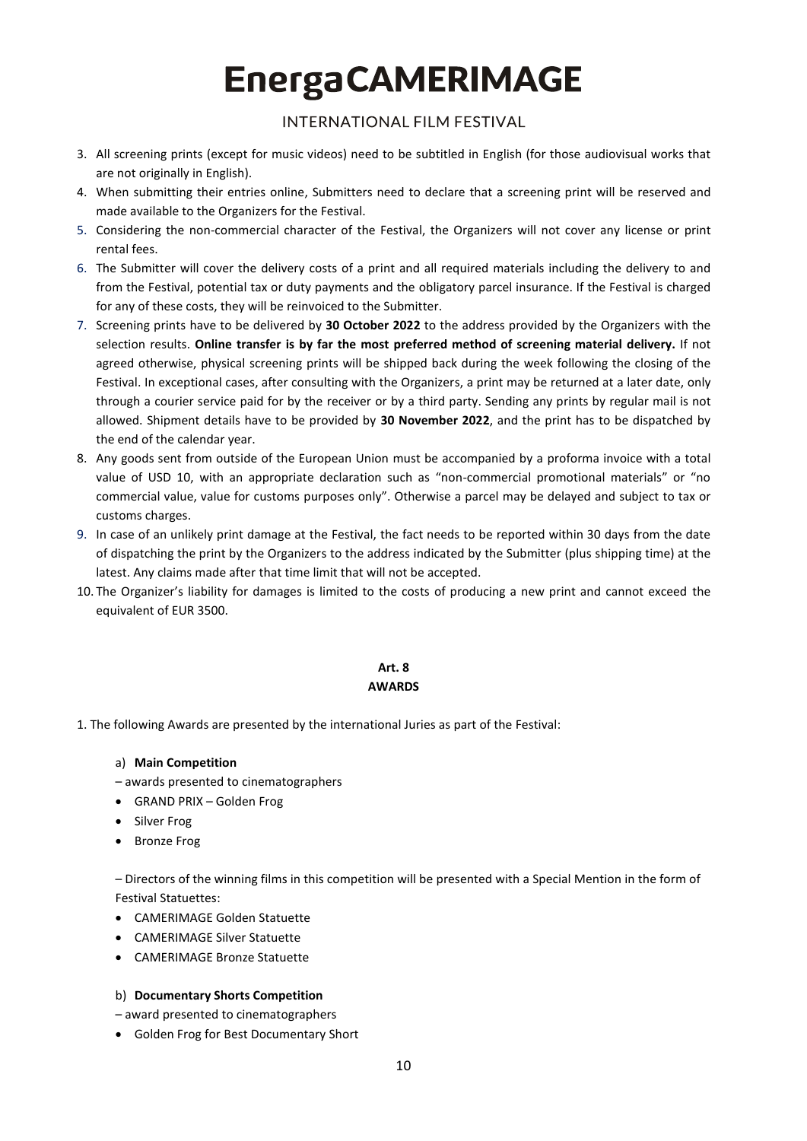## **INTERNATIONAL FILM FESTIVAL**

- 3. All screening prints (except for music videos) need to be subtitled in English (for those audiovisual works that are not originally in English).
- 4. When submitting their entries online, Submitters need to declare that a screening print will be reserved and made available to the Organizers for the Festival.
- 5. Considering the non-commercial character of the Festival, the Organizers will not cover any license or print rontal foos
- 6. The Submitter will cover the delivery costs of a print and all required materials including the delivery to and from the Festival, potential tax or duty payments and the obligatory parcel insurance. If the Festival is charged for any of these costs, they will be reinvoiced to the Submitter.
- 7. Screening prints have to be delivered by **30 October 2022** to the address provided by the Organizers with the selection results. **Online transfer is by far the most preferred method of screening material delivery.** If not agreed otherwise, physical screening prints will be shipped back during the week following the closing of the Festival. In exceptional cases, after consulting with the Organizers, a print may be returned at a later date, only through a courier service paid for by the receiver or by a third party. Sending any prints by regular mail is not allowed. Shipment details have to be provided by **30 November 2022**, and the print has to be dispatched by the end of the calendar year.
- 8. Any goods sent from outside of the European Union must be accompanied by a proforma invoice with a total value of USD 10, with an appropriate declaration such as "non-commercial promotional materials" or "no commercial value, value for customs purposes only". Otherwise a parcel may be delayed and subject to tax or customs charges.
- 9. In case of an unlikely print damage at the Festival, the fact needs to be reported within 30 days from the date of dispatching the print by the Organizers to the address indicated by the Submitter (plus shipping time) at the latest. Any claims made after that time limit that will not be accepted.
- 10. The Organizer's liability for damages is limited to the costs of producing a new print and cannot exceed the equivalent of EUR 3500.

#### **Art. 8 AWARDS**

- 1. The following Awards are presented by the international Juries as part of the Festival:
	- a) **Main Competition**
	- awards presented to cinematographers
	- GRAND PRIX Golden Frog
	- Silver Frog
	- Bronze Frog

– Directors of the winning films in this competition will be presented with a Special Mention in the form of Festival Statuettes:

- CAMERIMAGE Golden Statuette
- CAMERIMAGE Silver Statuette
- CAMERIMAGE Bronze Statuette

#### b) **Documentary Shorts Competition**

– award presented to cinematographers

• Golden Frog for Best Documentary Short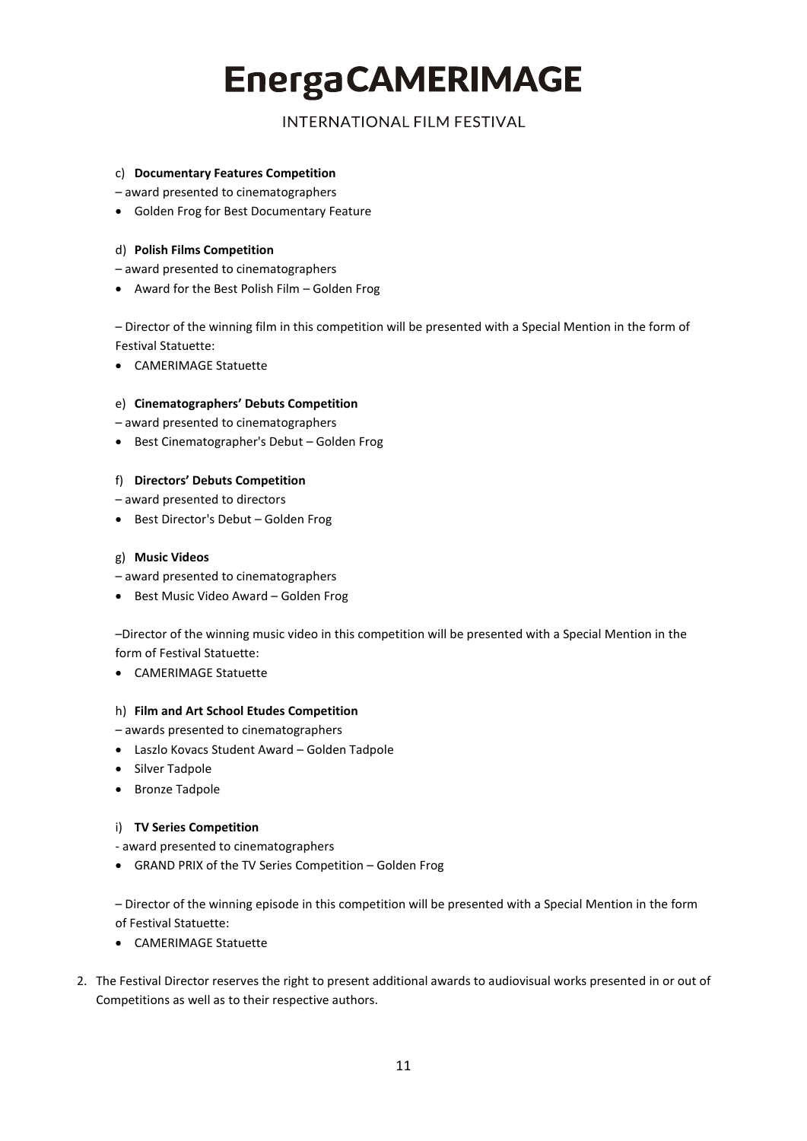**INTERNATIONAL FILM FESTIVAL** 

#### c) **Documentary Features Competition**

– award presented to cinematographers

• Golden Frog for Best Documentary Feature

#### d) **Polish Films Competition**

– award presented to cinematographers

• Award for the Best Polish Film – Golden Frog

– Director of the winning film in this competition will be presented with a Special Mention in the form of Festival Statuette:

• CAMERIMAGE Statuette

#### e) **Cinematographers' Debuts Competition**

– award presented to cinematographers

• Best Cinematographer's Debut – Golden Frog

#### f) **Directors' Debuts Competition**

– award presented to directors

• Best Director's Debut – Golden Frog

#### g) **Music Videos**

– award presented to cinematographers

• Best Music Video Award – Golden Frog

–Director of the winning music video in this competition will be presented with a Special Mention in the form of Festival Statuette:

• CAMERIMAGE Statuette

#### h) **Film and Art School Etudes Competition**

– awards presented to cinematographers

- Laszlo Kovacs Student Award Golden Tadpole
- Silver Tadpole
- Bronze Tadpole

#### i) **TV Series Competition**

- award presented to cinematographers

• GRAND PRIX of the TV Series Competition – Golden Frog

– Director of the winning episode in this competition will be presented with a Special Mention in the form of Festival Statuette:

- CAMERIMAGE Statuette
- 2. The Festival Director reserves the right to present additional awards to audiovisual works presented in or out of Competitions as well as to their respective authors.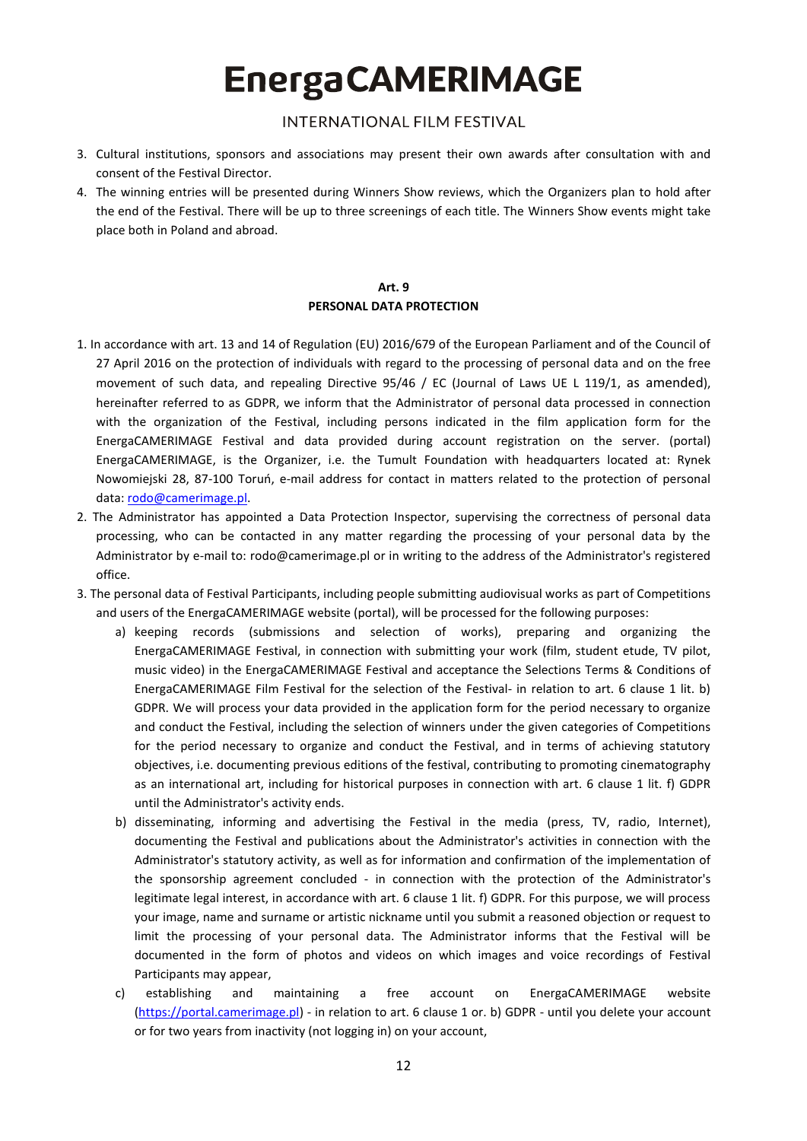## **INTERNATIONAL FILM FESTIVAL**

- 3. Cultural institutions, sponsors and associations may present their own awards after consultation with and consent of the Festival Director.
- 4. The winning entries will be presented during Winners Show reviews, which the Organizers plan to hold after the end of the Festival. There will be up to three screenings of each title. The Winners Show events might take place both in Poland and abroad.

### **Art. 9 PERSONAL DATA PROTECTION**

- 1. In accordance with art. 13 and 14 of Regulation (EU) 2016/679 of the European Parliament and of the Council of 27 April 2016 on the protection of individuals with regard to the processing of personal data and on the free movement of such data, and repealing Directive 95/46 / EC (Journal of Laws UE L 119/1, as amended), hereinafter referred to as GDPR, we inform that the Administrator of personal data processed in connection with the organization of the Festival, including persons indicated in the film application form for the EnergaCAMERIMAGE Festival and data provided during account registration on the server. (portal) EnergaCAMERIMAGE, is the Organizer, i.e. the Tumult Foundation with headquarters located at: Rynek Nowomiejski 28, 87-100 Toruń, e-mail address for contact in matters related to the protection of personal data: [rodo@camerimage.pl.](mailto:rodo@camerimage.pl)
- 2. The Administrator has appointed a Data Protection Inspector, supervising the correctness of personal data processing, who can be contacted in any matter regarding the processing of your personal data by the Administrator by e-mail to: rodo@camerimage.pl or in writing to the address of the Administrator's registered office.
- 3. The personal data of Festival Participants, including people submitting audiovisual works as part of Competitions and users of the EnergaCAMERIMAGE website (portal), will be processed for the following purposes:
	- a) keeping records (submissions and selection of works), preparing and organizing the EnergaCAMERIMAGE Festival, in connection with submitting your work (film, student etude, TV pilot, music video) in the EnergaCAMERIMAGE Festival and acceptance the Selections Terms & Conditions of EnergaCAMERIMAGE Film Festival for the selection of the Festival- in relation to art. 6 clause 1 lit. b) GDPR. We will process your data provided in the application form for the period necessary to organize and conduct the Festival, including the selection of winners under the given categories of Competitions for the period necessary to organize and conduct the Festival, and in terms of achieving statutory objectives, i.e. documenting previous editions of the festival, contributing to promoting cinematography as an international art, including for historical purposes in connection with art. 6 clause 1 lit. f) GDPR until the Administrator's activity ends.
	- b) disseminating, informing and advertising the Festival in the media (press, TV, radio, Internet), documenting the Festival and publications about the Administrator's activities in connection with the Administrator's statutory activity, as well as for information and confirmation of the implementation of the sponsorship agreement concluded - in connection with the protection of the Administrator's legitimate legal interest, in accordance with art. 6 clause 1 lit. f) GDPR. For this purpose, we will process your image, name and surname or artistic nickname until you submit a reasoned objection or request to limit the processing of your personal data. The Administrator informs that the Festival will be documented in the form of photos and videos on which images and voice recordings of Festival Participants may appear,
	- c) establishing and maintaining a free account on EnergaCAMERIMAGE website [\(https://portal.camerimage.pl\)](https://portal.camerimage.pl/) - in relation to art. 6 clause 1 or. b) GDPR - until you delete your account or for two years from inactivity (not logging in) on your account,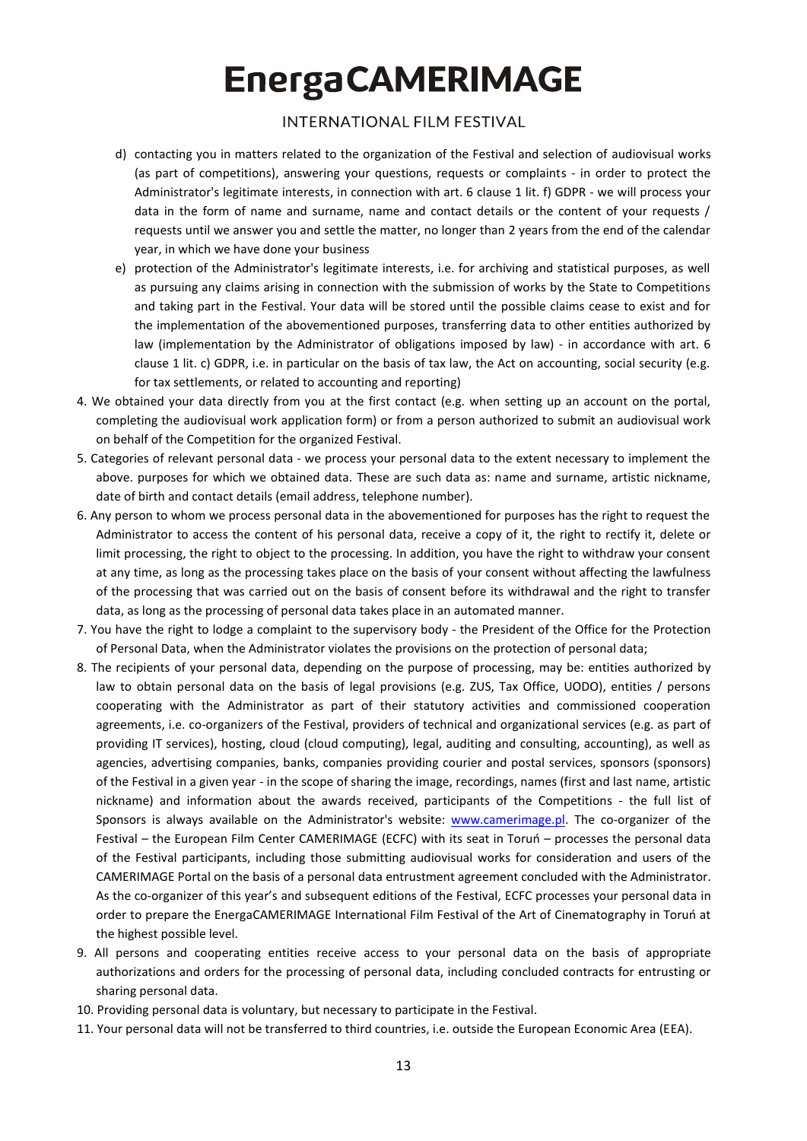## **INTERNATIONAL FILM FESTIVAL**

- d) contacting you in matters related to the organization of the Festival and selection of audiovisual works (as part of competitions), answering your questions, requests or complaints - in order to protect the Administrator's legitimate interests, in connection with art. 6 clause 1 lit. f) GDPR - we will process your data in the form of name and surname, name and contact details or the content of your requests / requests until we answer you and settle the matter, no longer than 2 years from the end of the calendar year, in which we have done your business
- e) protection of the Administrator's legitimate interests, i.e. for archiving and statistical purposes, as well as pursuing any claims arising in connection with the submission of works by the State to Competitions and taking part in the Festival. Your data will be stored until the possible claims cease to exist and for the implementation of the abovementioned purposes, transferring data to other entities authorized by law (implementation by the Administrator of obligations imposed by law) - in accordance with art. 6 clause 1 lit. c) GDPR, i.e. in particular on the basis of tax law, the Act on accounting, social security (e.g. for tax settlements, or related to accounting and reporting)
- 4. We obtained your data directly from you at the first contact (e.g. when setting up an account on the portal, completing the audiovisual work application form) or from a person authorized to submit an audiovisual work on behalf of the Competition for the organized Festival.
- 5. Categories of relevant personal data we process your personal data to the extent necessary to implement the above. purposes for which we obtained data. These are such data as: name and surname, artistic nickname, date of birth and contact details (email address, telephone number).
- 6. Any person to whom we process personal data in the abovementioned for purposes has the right to request the Administrator to access the content of his personal data, receive a copy of it, the right to rectify it, delete or limit processing, the right to object to the processing. In addition, you have the right to withdraw your consent at any time, as long as the processing takes place on the basis of your consent without affecting the lawfulness of the processing that was carried out on the basis of consent before its withdrawal and the right to transfer data, as long as the processing of personal data takes place in an automated manner.
- 7. You have the right to lodge a complaint to the supervisory body the President of the Office for the Protection of Personal Data, when the Administrator violates the provisions on the protection of personal data;
- 8. The recipients of your personal data, depending on the purpose of processing, may be: entities authorized by law to obtain personal data on the basis of legal provisions (e.g. ZUS, Tax Office, UODO), entities / persons cooperating with the Administrator as part of their statutory activities and commissioned cooperation agreements, i.e. co-organizers of the Festival, providers of technical and organizational services (e.g. as part of providing IT services), hosting, cloud (cloud computing), legal, auditing and consulting, accounting), as well as agencies, advertising companies, banks, companies providing courier and postal services, sponsors (sponsors) of the Festival in a given year - in the scope of sharing the image, recordings, names (first and last name, artistic nickname) and information about the awards received, participants of the Competitions - the full list of Sponsors is always available on the Administrator's website: [www.camerimage.pl.](http://www.camerimage.pl/) The co-organizer of the Festival – the European Film Center CAMERIMAGE (ECFC) with its seat in Toruń – processes the personal data of the Festival participants, including those submitting audiovisual works for consideration and users of the CAMERIMAGE Portal on the basis of a personal data entrustment agreement concluded with the Administrator. As the co-organizer of this year's and subsequent editions of the Festival, ECFC processes your personal data in order to prepare the EnergaCAMERIMAGE International Film Festival of the Art of Cinematography in Toruń at the highest possible level.
- 9. All persons and cooperating entities receive access to your personal data on the basis of appropriate authorizations and orders for the processing of personal data, including concluded contracts for entrusting or sharing personal data.
- 10. Providing personal data is voluntary, but necessary to participate in the Festival.
- 11. Your personal data will not be transferred to third countries, i.e. outside the European Economic Area (EEA).